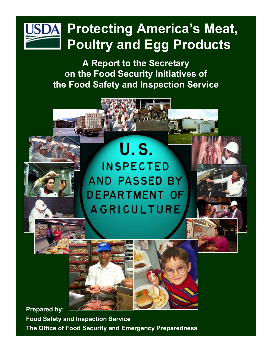# **Protecting America's Meat,**  JSDA **Poultry and Egg Products**

**A Report to the Secretary on the Food Security Initiatives of the Food Safety and Inspection Service** 

# **U.S. INSPECTED** AND PASSED BY **DEPARTMENT OF AGRICULTURE**



**Prepared by:** 

**Food Safety and Inspection Service The Office of Food Security and Emergency Preparedness**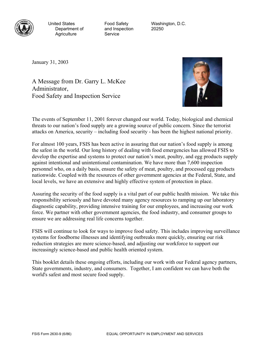

Agriculture Service

Department of and Inspection 20250

United States **Food Safety** Washington, D.C.

January 31, 2003

A Message from Dr. Garry L. McKee Administrator, Food Safety and Inspection Service



The events of September 11, 2001 forever changed our world. Today, biological and chemical threats to our nation's food supply are a growing source of public concern. Since the terrorist attacks on America, security – including food security - has been the highest national priority.

For almost 100 years, FSIS has been active in assuring that our nation's food supply is among the safest in the world. Our long history of dealing with food emergencies has allowed FSIS to develop the expertise and systems to protect our nation's meat, poultry, and egg products supply against intentional and unintentional contamination. We have more than 7,600 inspection personnel who, on a daily basis, ensure the safety of meat, poultry, and processed egg products nationwide. Coupled with the resources of other government agencies at the Federal, State, and local levels, we have an extensive and highly effective system of protection in place.

Assuring the security of the food supply is a vital part of our public health mission. We take this responsibility seriously and have devoted many agency resources to ramping up our laboratory diagnostic capability, providing intensive training for our employees, and increasing our work force. We partner with other government agencies, the food industry, and consumer groups to ensure we are addressing real life concerns together.

FSIS will continue to look for ways to improve food safety. This includes improving surveillance systems for foodborne illnesses and identifying outbreaks more quickly, ensuring our risk reduction strategies are more science-based, and adjusting our workforce to support our increasingly science-based and public health oriented system.

This booklet details these ongoing efforts, including our work with our Federal agency partners, State governments, industry, and consumers. Together, I am confident we can have both the world's safest and most secure food supply.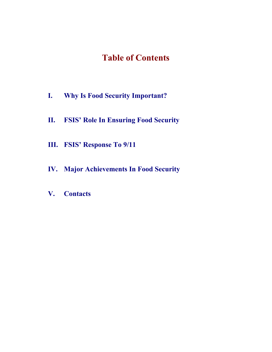## **Table of Contents**

- **[I. Why Is Food Security Important?](#page-3-0)**
- **[II. FSIS' Role In Ensuring Food Security](#page-5-0)**
- **[III. FSIS' Response To 9/11](#page-7-0)**
- **[IV. Major Achievements In Food Security](#page-9-0)**
- **[V. Contacts](#page-13-0)**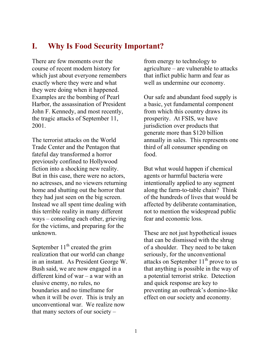## <span id="page-3-0"></span>**I. Why Is Food Security Important?**

There are few moments over the course of recent modern history for which just about everyone remembers exactly where they were and what they were doing when it happened. Examples are the bombing of Pearl Harbor, the assassination of President John F. Kennedy, and most recently, the tragic attacks of September 11, 2001.

The terrorist attacks on the World Trade Center and the Pentagon that fateful day transformed a horror previously confined to Hollywood fiction into a shocking new reality. But in this case, there were no actors, no actresses, and no viewers returning home and shutting out the horror that they had just seen on the big screen. Instead we all spent time dealing with this terrible reality in many different ways – consoling each other, grieving for the victims, and preparing for the unknown.

September  $11<sup>th</sup>$  created the grim realization that our world can change in an instant. As President George W. Bush said, we are now engaged in a different kind of war – a war with an elusive enemy, no rules, no boundaries and no timeframe for when it will be over. This is truly an unconventional war. We realize now that many sectors of our society –

from energy to technology to agriculture – are vulnerable to attacks that inflict public harm and fear as well as undermine our economy.

Our safe and abundant food supply is a basic, yet fundamental component from which this country draws its prosperity. At FSIS, we have jurisdiction over products that generate more than \$120 billion annually in sales. This represents one third of all consumer spending on food.

But what would happen if chemical agents or harmful bacteria were intentionally applied to any segment along the farm-to-table chain? Think of the hundreds of lives that would be affected by deliberate contamination, not to mention the widespread public fear and economic loss.

These are not just hypothetical issues that can be dismissed with the shrug of a shoulder. They need to be taken seriously, for the unconventional attacks on September  $11<sup>th</sup>$  prove to us that anything is possible in the way of a potential terrorist strike. Detection and quick response are key to preventing an outbreak's domino-like effect on our society and economy.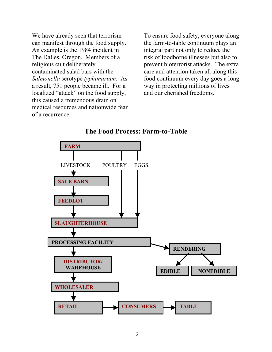We have already seen that terrorism can manifest through the food supply. An example is the 1984 incident in The Dalles, Oregon. Members of a religious cult deliberately contaminated salad bars with the *Salmonella* serotype *typhimurium*. As a result, 751 people became ill. For a localized "attack" on the food supply, this caused a tremendous drain on medical resources and nationwide fear of a recurrence.

To ensure food safety, everyone along the farm-to-table continuum plays an integral part not only to reduce the risk of foodborne illnesses but also to prevent bioterrorist attacks. The extra care and attention taken all along this food continuum every day goes a long way in protecting millions of lives and our cherished freedoms.



#### **The Food Process: Farm-to-Table**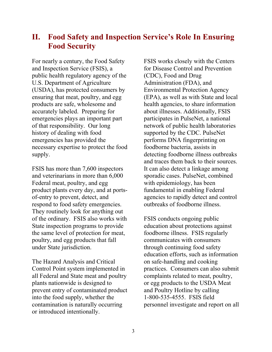## <span id="page-5-0"></span>**II. Food Safety and Inspection Service's Role In Ensuring Food Security**

For nearly a century, the Food Safety and Inspection Service (FSIS), a public health regulatory agency of the U.S. Department of Agriculture (USDA), has protected consumers by ensuring that meat, poultry, and egg products are safe, wholesome and accurately labeled. Preparing for emergencies plays an important part of that responsibility. Our long history of dealing with food emergencies has provided the necessary expertise to protect the food supply.

FSIS has more than 7,600 inspectors and veterinarians in more than 6,000 Federal meat, poultry, and egg product plants every day, and at portsof-entry to prevent, detect, and respond to food safety emergencies. They routinely look for anything out of the ordinary. FSIS also works with State inspection programs to provide the same level of protection for meat, poultry, and egg products that fall under State jurisdiction.

The Hazard Analysis and Critical Control Point system implemented in all Federal and State meat and poultry plants nationwide is designed to prevent entry of contaminated product into the food supply, whether the contamination is naturally occurring or introduced intentionally.

FSIS works closely with the Centers for Disease Control and Prevention (CDC), Food and Drug Administration (FDA), and Environmental Protection Agency (EPA), as well as with State and local health agencies, to share information about illnesses. Additionally, FSIS participates in PulseNet, a national network of public health laboratories supported by the CDC. PulseNet performs DNA fingerprinting on foodborne bacteria, assists in detecting foodborne illness outbreaks and traces them back to their sources. It can also detect a linkage among sporadic cases. PulseNet, combined with epidemiology, has been fundamental in enabling Federal agencies to rapidly detect and control outbreaks of foodborne illness.

FSIS conducts ongoing public education about protections against foodborne illness. FSIS regularly communicates with consumers through continuing food safety education efforts, such as information on safe-handling and cooking practices. Consumers can also submit complaints related to meat, poultry, or egg products to the USDA Meat and Poultry Hotline by calling 1-800-535-4555. FSIS field personnel investigate and report on all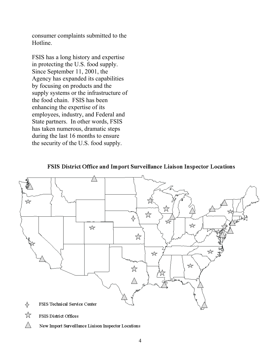consumer complaints submitted to the Hotline.

FSIS has a long history and expertise in protecting the U.S. food supply. Since September 11, 2001, the Agency has expanded its capabilities by focusing on products and the supply systems or the infrastructure of the food chain. FSIS has been enhancing the expertise of its employees, industry, and Federal and State partners. In other words, FSIS has taken numerous, dramatic steps during the last 16 months to ensure the security of the U.S. food supply.



#### FSIS District Office and Import Surveillance Liaison Inspector Locations

- ☆ FSIS District Offices
- Л New Import Surveillance Liaison Inspector Locations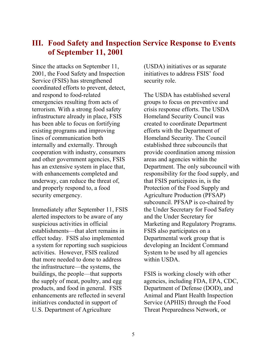## <span id="page-7-0"></span>**III. Food Safety and Inspection Service Response to Events of September 11, 2001**

Since the attacks on September 11, 2001, the Food Safety and Inspection Service (FSIS) has strengthened coordinated efforts to prevent, detect, and respond to food-related emergencies resulting from acts of terrorism. With a strong food safety infrastructure already in place, FSIS has been able to focus on fortifying existing programs and improving lines of communication both internally and externally. Through cooperation with industry, consumers and other government agencies, FSIS has an extensive system in place that, with enhancements completed and underway, can reduce the threat of, and properly respond to, a food security emergency.

Immediately after September 11, FSIS alerted inspectors to be aware of any suspicious activities in official establishments—that alert remains in effect today. FSIS also implemented a system for reporting such suspicious activities. However, FSIS realized that more needed to done to address the infrastructure—the systems, the buildings, the people—that supports the supply of meat, poultry, and egg products, and food in general. FSIS enhancements are reflected in several initiatives conducted in support of U.S. Department of Agriculture

(USDA) initiatives or as separate initiatives to address FSIS' food security role.

The USDA has established several groups to focus on preventive and crisis response efforts. The USDA Homeland Security Council was created to coordinate Department efforts with the Department of Homeland Security. The Council established three subcouncils that provide coordination among mission areas and agencies within the Department. The only subcouncil with responsibility for the food supply, and that FSIS participates in, is the Protection of the Food Supply and Agriculture Production (PFSAP) subcouncil. PFSAP is co-chaired by the Under Secretary for Food Safety and the Under Secretary for Marketing and Regulatory Programs. FSIS also participates on a Departmental work group that is developing an Incident Command System to be used by all agencies within USDA.

FSIS is working closely with other agencies, including FDA, EPA, CDC, Department of Defense (DOD), and Animal and Plant Health Inspection Service (APHIS) through the Food Threat Preparedness Network, or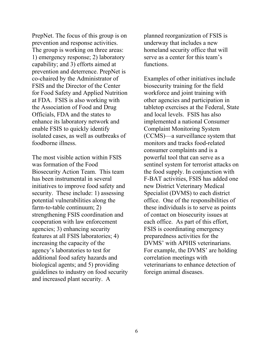PrepNet. The focus of this group is on prevention and response activities. The group is working on three areas: 1) emergency response; 2) laboratory capability; and 3) efforts aimed at prevention and deterrence. PrepNet is co-chaired by the Administrator of FSIS and the Director of the Center for Food Safety and Applied Nutrition at FDA. FSIS is also working with the Association of Food and Drug Officials, FDA and the states to enhance its laboratory network and enable FSIS to quickly identify isolated cases, as well as outbreaks of foodborne illness.

The most visible action within FSIS was formation of the Food Biosecurity Action Team. This team has been instrumental in several initiatives to improve food safety and security. These include: 1) assessing potential vulnerabilities along the farm-to-table continuum; 2) strengthening FSIS coordination and cooperation with law enforcement agencies; 3) enhancing security features at all FSIS laboratories; 4) increasing the capacity of the agency's laboratories to test for additional food safety hazards and biological agents; and 5) providing guidelines to industry on food security and increased plant security. A

planned reorganization of FSIS is underway that includes a new homeland security office that will serve as a center for this team's functions.

Examples of other initiatives include biosecurity training for the field workforce and joint training with other agencies and participation in tabletop exercises at the Federal, State and local levels. FSIS has also implemented a national Consumer Complaint Monitoring System (CCMS)—a surveillance system that monitors and tracks food-related consumer complaints and is a powerful tool that can serve as a sentinel system for terrorist attacks on the food supply. In conjunction with F-BAT activities, FSIS has added one new District Veterinary Medical Specialist (DVMS) to each district office. One of the responsibilities of these individuals is to serve as points of contact on biosecurity issues at each office. As part of this effort, FSIS is coordinating emergency preparedness activities for the DVMS' with APHIS veterinarians. For example, the DVMS' are holding correlation meetings with veterinarians to enhance detection of foreign animal diseases.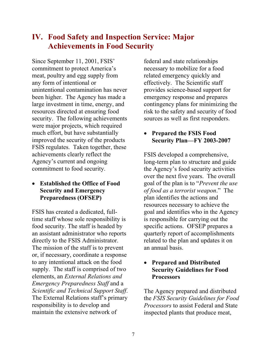## <span id="page-9-0"></span>**IV. Food Safety and Inspection Service: Major Achievements in Food Security**

Since September 11, 2001, FSIS' commitment to protect America's meat, poultry and egg supply from any form of intentional or unintentional contamination has never been higher. The Agency has made a large investment in time, energy, and resources directed at ensuring food security. The following achievements were major projects, which required much effort, but have substantially improved the security of the products FSIS regulates. Taken together, these achievements clearly reflect the Agency's current and ongoing commitment to food security.

• **Established the Office of Food Security and Emergency Preparedness (OFSEP)** 

FSIS has created a dedicated, fulltime staff whose sole responsibility is food security. The staff is headed by an assistant administrator who reports directly to the FSIS Administrator. The mission of the staff is to prevent or, if necessary, coordinate a response to any intentional attack on the food supply. The staff is comprised of two elements, an *External Relations and Emergency Preparedness Staff* and a *Scientific and Technical Support Staff*. The External Relations staff's primary responsibility is to develop and maintain the extensive network of

federal and state relationships necessary to mobilize for a food related emergency quickly and effectively. The Scientific staff provides science-based support for emergency response and prepares contingency plans for minimizing the risk to the safety and security of food sources as well as first responders.

## • **Prepared the FSIS Food Security Plan—FY 2003-2007**

FSIS developed a comprehensive, long-term plan to structure and guide the Agency's food security activities over the next five years. The overall goal of the plan is to "*Prevent the use of food as a terrorist weapon*." The plan identifies the actions and resources necessary to achieve the goal and identifies who in the Agency is responsible for carrying out the specific actions. OFSEP prepares a quarterly report of accomplishments related to the plan and updates it on an annual basis.

#### • **Prepared and Distributed Security Guidelines for Food Processors**

The Agency prepared and distributed the *FSIS Security Guidelines for Food Processors* to assist Federal and State inspected plants that produce meat,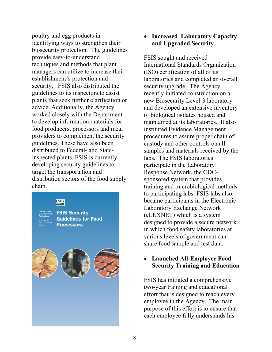poultry and egg products in identifying ways to strengthen their biosecurity protection. The guidelines provide easy-to-understand techniques and methods that plant managers can utilize to increase their establishment's protection and security. FSIS also distributed the guidelines to its inspectors to assist plants that seek further clarification or advice. Additionally, the Agency worked closely with the Department to develop information materials for food producers, processors and meal providers to complement the security guidelines. These have also been distributed to Federal- and Stateinspected plants. FSIS is currently developing security guidelines to target the transportation and distribution sectors of the food supply chain.



## • **Increased Laboratory Capacity and Upgraded Security**

FSIS sought and received International Standards Organization (ISO) certification of all of its laboratories and completed an overall security upgrade. The Agency recently initiated construction on a new Biosecurity Level-3 laboratory and developed an extensive inventory of biological isolates housed and maintained at its laboratories. It also instituted Evidence Management procedures to assure proper chain of custody and other controls on all samples and materials received by the labs. The FSIS laboratories participate in the Laboratory Response Network, the CDCsponsored system that provides training and microbiological methods to participating labs. FSIS labs also became participants in the Electronic Laboratory Exchange Network (eLEXNET) which is a system designed to provide a secure network in which food safety laboratories at various levels of government can share food sample and test data.

#### • **Launched All-Employee Food Security Training and Education**

FSIS has initiated a comprehensive two-year training and educational effort that is designed to reach every employee in the Agency. The main purpose of this effort is to ensure that each employee fully understands his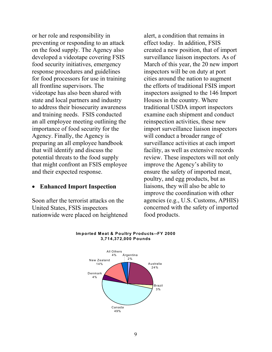or her role and responsibility in preventing or responding to an attack on the food supply. The Agency also developed a videotape covering FSIS food security initiatives, emergency response procedures and guidelines for food processors for use in training all frontline supervisors. The videotape has also been shared with state and local partners and industry to address their biosecurity awareness and training needs. FSIS conducted an all employee meeting outlining the importance of food security for the Agency. Finally, the Agency is preparing an all employee handbook that will identify and discuss the potential threats to the food supply that might confront an FSIS employee and their expected response.

#### • **Enhanced Import Inspection**

Soon after the terrorist attacks on the United States, FSIS inspectors nationwide were placed on heightened alert, a condition that remains in effect today. In addition, FSIS created a new position, that of import surveillance liaison inspectors. As of March of this year, the 20 new import inspectors will be on duty at port cities around the nation to augment the efforts of traditional FSIS import inspectors assigned to the 146 Import Houses in the country. Where traditional USDA import inspectors examine each shipment and conduct reinspection activities, these new import surveillance liaison inspectors will conduct a broader range of surveillance activities at each import facility, as well as extensive records review. These inspectors will not only improve the Agency's ability to ensure the safety of imported meat, poultry, and egg products, but as liaisons, they will also be able to improve the coordination with other agencies (e.g., U.S. Customs, APHIS) concerned with the safety of imported food products.



#### **Im ported M eat & Poultry Products--FY 2000 3,714,372,000 Pounds**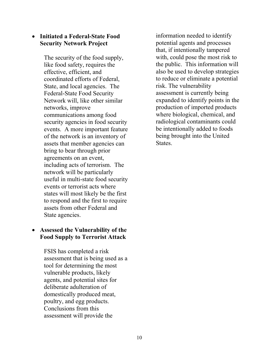#### • **Initiated a Federal-State Food Security Network Project**

The security of the food supply, like food safety, requires the effective, efficient, and coordinated efforts of Federal, State, and local agencies. The Federal-State Food Security Network will, like other similar networks, improve communications among food security agencies in food security events. A more important feature of the network is an inventory of assets that member agencies can bring to bear through prior agreements on an event, including acts of terrorism. The network will be particularly useful in multi-state food security events or terrorist acts where states will most likely be the first to respond and the first to require assets from other Federal and State agencies.

#### • **Assessed the Vulnerability of the Food Supply to Terrorist Attack**

FSIS has completed a risk assessment that is being used as a tool for determining the most vulnerable products, likely agents, and potential sites for deliberate adulteration of domestically produced meat, poultry, and egg products. Conclusions from this assessment will provide the

information needed to identify potential agents and processes that, if intentionally tampered with, could pose the most risk to the public. This information will also be used to develop strategies to reduce or eliminate a potential risk. The vulnerability assessment is currently being expanded to identify points in the production of imported products where biological, chemical, and radiological contaminants could be intentionally added to foods being brought into the United States.